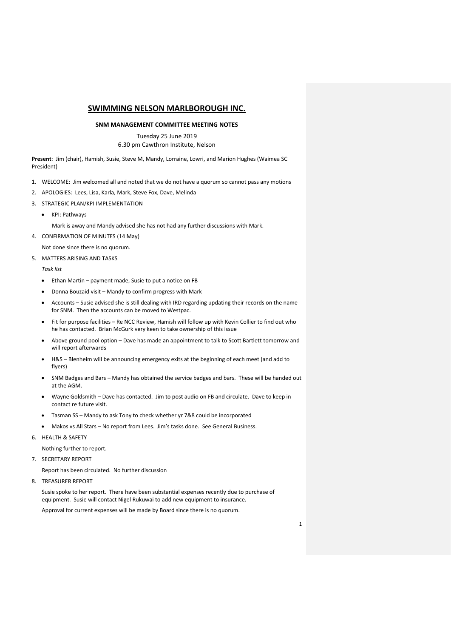# **SWIMMING NELSON MARLBOROUGH INC.**

### **SNM MANAGEMENT COMMITTEE MEETING NOTES**

Tuesday 25 June 2019 6.30 pm Cawthron Institute, Nelson

**Present**: Jim (chair), Hamish, Susie, Steve M, Mandy, Lorraine, Lowri, and Marion Hughes (Waimea SC President)

- 1. WELCOME: Jim welcomed all and noted that we do not have a quorum so cannot pass any motions
- 2. APOLOGIES: Lees, Lisa, Karla, Mark, Steve Fox, Dave, Melinda
- 3. STRATEGIC PLAN/KPI IMPLEMENTATION
	- KPI: Pathways

Mark is away and Mandy advised she has not had any further discussions with Mark.

4. CONFIRMATION OF MINUTES (14 May)

Not done since there is no quorum.

5. MATTERS ARISING AND TASKS

*Task list*

- Ethan Martin payment made, Susie to put a notice on FB
- Donna Bouzaid visit Mandy to confirm progress with Mark
- Accounts Susie advised she is still dealing with IRD regarding updating their records on the name for SNM. Then the accounts can be moved to Westpac.
- Fit for purpose facilities Re NCC Review, Hamish will follow up with Kevin Collier to find out who he has contacted. Brian McGurk very keen to take ownership of this issue
- Above ground pool option Dave has made an appointment to talk to Scott Bartlett tomorrow and will report afterwards
- H&S Blenheim will be announcing emergency exits at the beginning of each meet (and add to flyers)
- SNM Badges and Bars Mandy has obtained the service badges and bars. These will be handed out at the AGM.
- Wayne Goldsmith Dave has contacted. Jim to post audio on FB and circulate. Dave to keep in contact re future visit.
- Tasman SS Mandy to ask Tony to check whether yr 7&8 could be incorporated
- Makos vs All Stars No report from Lees. Jim's tasks done. See General Business.

6. HEALTH & SAFETY

Nothing further to report.

7. SECRETARY REPORT

Report has been circulated. No further discussion

8. TREASURER REPORT

Susie spoke to her report. There have been substantial expenses recently due to purchase of equipment. Susie will contact Nigel Rukuwai to add new equipment to insurance.

Approval for current expenses will be made by Board since there is no quorum.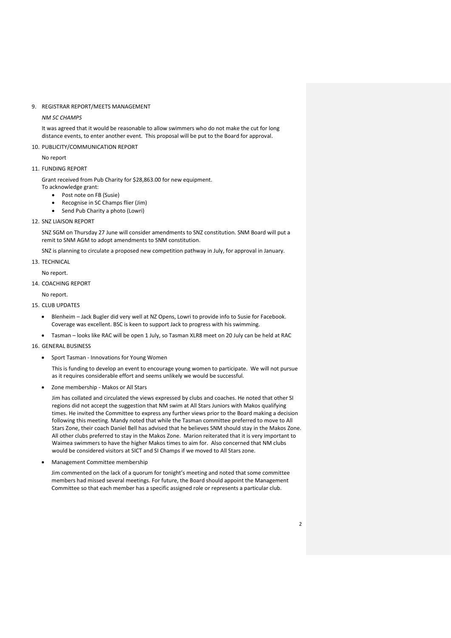### 9. REGISTRAR REPORT/MEETS MANAGEMENT

#### *NM SC CHAMPS*

It was agreed that it would be reasonable to allow swimmers who do not make the cut for long distance events, to enter another event. This proposal will be put to the Board for approval.

### 10. PUBLICITY/COMMUNICATION REPORT

#### No report

## 11. FUNDING REPORT

Grant received from Pub Charity for \$28,863.00 for new equipment.

- To acknowledge grant:
	- Post note on FB (Susie)
	- Recognise in SC Champs flier (Jim)
	- Send Pub Charity a photo (Lowri)
- 12. SNZ LIAISON REPORT

SNZ SGM on Thursday 27 June will consider amendments to SNZ constitution. SNM Board will put a remit to SNM AGM to adopt amendments to SNM constitution.

SNZ is planning to circulate a proposed new competition pathway in July, for approval in January.

13. TECHNICAL

No report.

14. COACHING REPORT

No report.

# 15. CLUB UPDATES

- Blenheim Jack Bugler did very well at NZ Opens, Lowri to provide info to Susie for Facebook. Coverage was excellent. BSC is keen to support Jack to progress with his swimming.
- Tasman looks like RAC will be open 1 July, so Tasman XLR8 meet on 20 July can be held at RAC

16. GENERAL BUSINESS

• Sport Tasman - Innovations for Young Women

This is funding to develop an event to encourage young women to participate. We will not pursue as it requires considerable effort and seems unlikely we would be successful.

• Zone membership - Makos or All Stars

Jim has collated and circulated the views expressed by clubs and coaches. He noted that other SI regions did not accept the suggestion that NM swim at All Stars Juniors with Makos qualifying times. He invited the Committee to express any further views prior to the Board making a decision following this meeting. Mandy noted that while the Tasman committee preferred to move to All Stars Zone, their coach Daniel Bell has advised that he believes SNM should stay in the Makos Zone. All other clubs preferred to stay in the Makos Zone. Marion reiterated that it is very important to Waimea swimmers to have the higher Makos times to aim for. Also concerned that NM clubs would be considered visitors at SICT and SI Champs if we moved to All Stars zone.

• Management Committee membership

Jim commented on the lack of a quorum for tonight's meeting and noted that some committee members had missed several meetings. For future, the Board should appoint the Management Committee so that each member has a specific assigned role or represents a particular club.